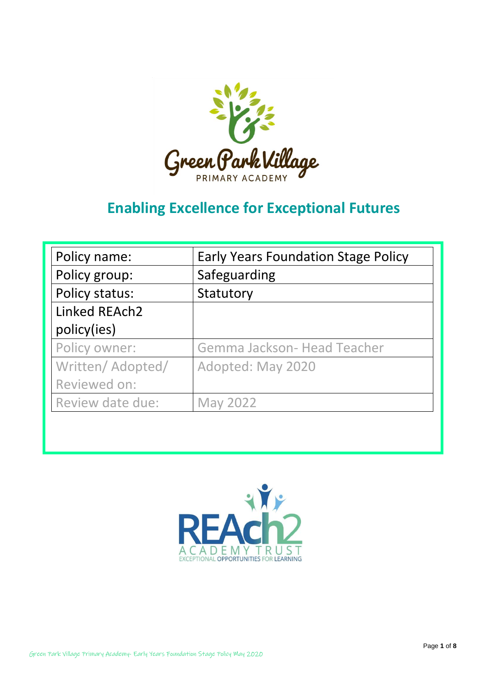

# **Enabling Excellence for Exceptional Futures**

| Policy name:      | <b>Early Years Foundation Stage Policy</b> |
|-------------------|--------------------------------------------|
| Policy group:     | Safeguarding                               |
| Policy status:    | Statutory                                  |
| Linked REAch2     |                                            |
| policy(ies)       |                                            |
| Policy owner:     | Gemma Jackson- Head Teacher                |
| Written/ Adopted/ | Adopted: May 2020                          |
| Reviewed on:      |                                            |
| Review date due:  | <b>May 2022</b>                            |

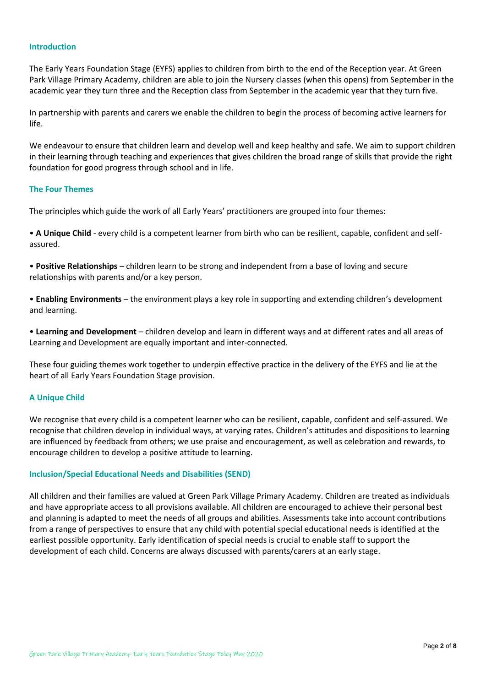#### **Introduction**

The Early Years Foundation Stage (EYFS) applies to children from birth to the end of the Reception year. At Green Park Village Primary Academy, children are able to join the Nursery classes (when this opens) from September in the academic year they turn three and the Reception class from September in the academic year that they turn five.

In partnership with parents and carers we enable the children to begin the process of becoming active learners for life.

We endeavour to ensure that children learn and develop well and keep healthy and safe. We aim to support children in their learning through teaching and experiences that gives children the broad range of skills that provide the right foundation for good progress through school and in life.

#### **The Four Themes**

The principles which guide the work of all Early Years' practitioners are grouped into four themes:

• **A Unique Child** - every child is a competent learner from birth who can be resilient, capable, confident and selfassured.

• **Positive Relationships** – children learn to be strong and independent from a base of loving and secure relationships with parents and/or a key person.

• **Enabling Environments** – the environment plays a key role in supporting and extending children's development and learning.

• **Learning and Development** – children develop and learn in different ways and at different rates and all areas of Learning and Development are equally important and inter-connected.

These four guiding themes work together to underpin effective practice in the delivery of the EYFS and lie at the heart of all Early Years Foundation Stage provision.

#### **A Unique Child**

We recognise that every child is a competent learner who can be resilient, capable, confident and self-assured. We recognise that children develop in individual ways, at varying rates. Children's attitudes and dispositions to learning are influenced by feedback from others; we use praise and encouragement, as well as celebration and rewards, to encourage children to develop a positive attitude to learning.

#### **Inclusion/Special Educational Needs and Disabilities (SEND)**

All children and their families are valued at Green Park Village Primary Academy. Children are treated as individuals and have appropriate access to all provisions available. All children are encouraged to achieve their personal best and planning is adapted to meet the needs of all groups and abilities. Assessments take into account contributions from a range of perspectives to ensure that any child with potential special educational needs is identified at the earliest possible opportunity. Early identification of special needs is crucial to enable staff to support the development of each child. Concerns are always discussed with parents/carers at an early stage.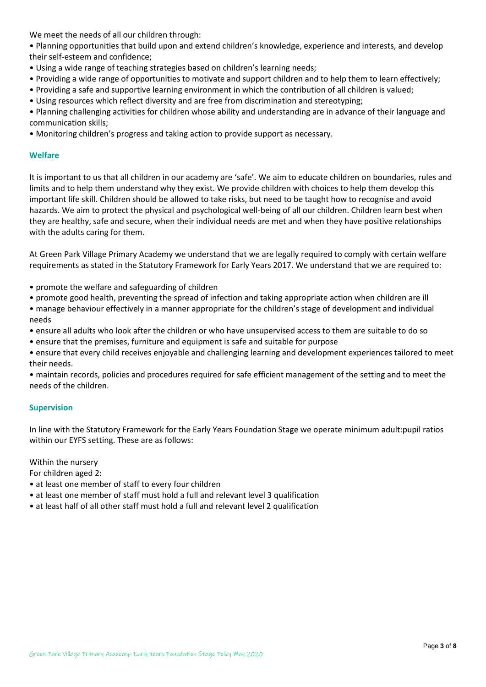We meet the needs of all our children through:

• Planning opportunities that build upon and extend children's knowledge, experience and interests, and develop their self-esteem and confidence;

- Using a wide range of teaching strategies based on children's learning needs;
- Providing a wide range of opportunities to motivate and support children and to help them to learn effectively;
- Providing a safe and supportive learning environment in which the contribution of all children is valued;
- Using resources which reflect diversity and are free from discrimination and stereotyping;

• Planning challenging activities for children whose ability and understanding are in advance of their language and communication skills;

• Monitoring children's progress and taking action to provide support as necessary.

## **Welfare**

It is important to us that all children in our academy are 'safe'. We aim to educate children on boundaries, rules and limits and to help them understand why they exist. We provide children with choices to help them develop this important life skill. Children should be allowed to take risks, but need to be taught how to recognise and avoid hazards. We aim to protect the physical and psychological well-being of all our children. Children learn best when they are healthy, safe and secure, when their individual needs are met and when they have positive relationships with the adults caring for them.

At Green Park Village Primary Academy we understand that we are legally required to comply with certain welfare requirements as stated in the Statutory Framework for Early Years 2017. We understand that we are required to:

- promote the welfare and safeguarding of children
- promote good health, preventing the spread of infection and taking appropriate action when children are ill
- manage behaviour effectively in a manner appropriate for the children's stage of development and individual needs
- ensure all adults who look after the children or who have unsupervised access to them are suitable to do so
- ensure that the premises, furniture and equipment is safe and suitable for purpose
- ensure that every child receives enjoyable and challenging learning and development experiences tailored to meet their needs.

• maintain records, policies and procedures required for safe efficient management of the setting and to meet the needs of the children.

## **Supervision**

In line with the Statutory Framework for the Early Years Foundation Stage we operate minimum adult:pupil ratios within our EYFS setting. These are as follows:

Within the nursery

For children aged 2:

- at least one member of staff to every four children
- at least one member of staff must hold a full and relevant level 3 qualification
- at least half of all other staff must hold a full and relevant level 2 qualification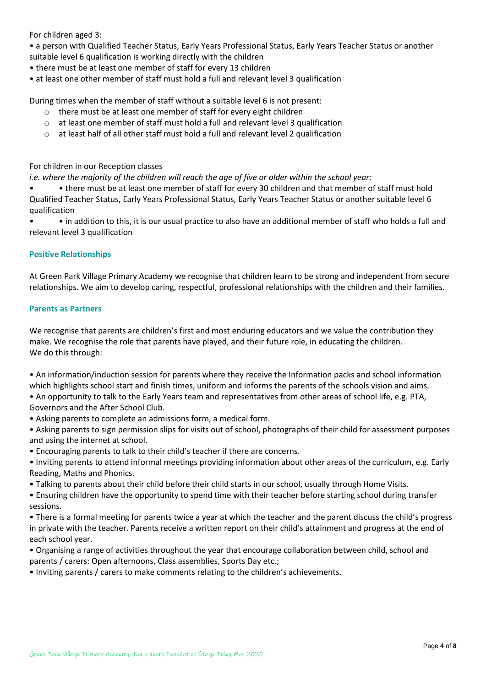For children aged 3:

- a person with Qualified Teacher Status, Early Years Professional Status, Early Years Teacher Status or another suitable level 6 qualification is working directly with the children
- there must be at least one member of staff for every 13 children
- at least one other member of staff must hold a full and relevant level 3 qualification

During times when the member of staff without a suitable level 6 is not present:

- o there must be at least one member of staff for every eight children
- $\circ$  at least one member of staff must hold a full and relevant level 3 qualification
- $\circ$  at least half of all other staff must hold a full and relevant level 2 qualification

For children in our Reception classes

*i.e. where the majority of the children will reach the age of five or older within the school year:* 

• • there must be at least one member of staff for every 30 children and that member of staff must hold Qualified Teacher Status, Early Years Professional Status, Early Years Teacher Status or another suitable level 6 qualification

• • in addition to this, it is our usual practice to also have an additional member of staff who holds a full and relevant level 3 qualification

# **Positive Relationships**

At Green Park Village Primary Academy we recognise that children learn to be strong and independent from secure relationships. We aim to develop caring, respectful, professional relationships with the children and their families.

# **Parents as Partners**

We recognise that parents are children's first and most enduring educators and we value the contribution they make. We recognise the role that parents have played, and their future role, in educating the children. We do this through:

• An information/induction session for parents where they receive the Information packs and school information which highlights school start and finish times, uniform and informs the parents of the schools vision and aims.

• An opportunity to talk to the Early Years team and representatives from other areas of school life, e.g. PTA, Governors and the After School Club.

• Asking parents to complete an admissions form, a medical form.

• Asking parents to sign permission slips for visits out of school, photographs of their child for assessment purposes and using the internet at school.

• Encouraging parents to talk to their child's teacher if there are concerns.

- Inviting parents to attend informal meetings providing information about other areas of the curriculum, e.g. Early Reading, Maths and Phonics.
- Talking to parents about their child before their child starts in our school, usually through Home Visits.
- Ensuring children have the opportunity to spend time with their teacher before starting school during transfer sessions.

• There is a formal meeting for parents twice a year at which the teacher and the parent discuss the child's progress in private with the teacher. Parents receive a written report on their child's attainment and progress at the end of each school year.

• Organising a range of activities throughout the year that encourage collaboration between child, school and parents / carers: Open afternoons, Class assemblies, Sports Day etc.;

• Inviting parents / carers to make comments relating to the children's achievements.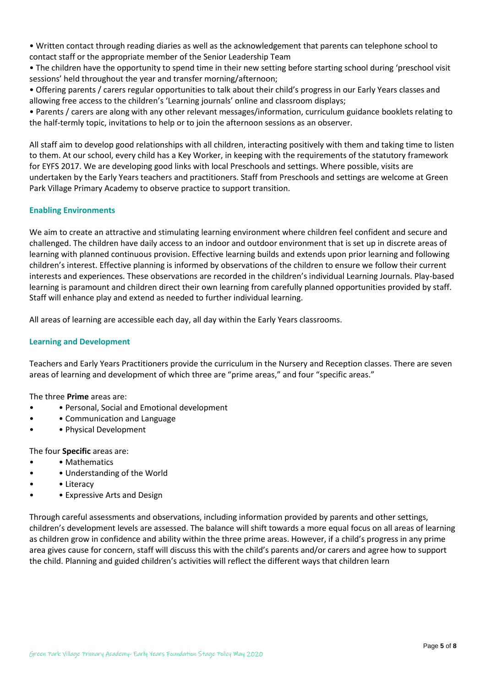• Written contact through reading diaries as well as the acknowledgement that parents can telephone school to contact staff or the appropriate member of the Senior Leadership Team

• The children have the opportunity to spend time in their new setting before starting school during 'preschool visit sessions' held throughout the year and transfer morning/afternoon;

• Offering parents / carers regular opportunities to talk about their child's progress in our Early Years classes and allowing free access to the children's 'Learning journals' online and classroom displays;

• Parents / carers are along with any other relevant messages/information, curriculum guidance booklets relating to the half-termly topic, invitations to help or to join the afternoon sessions as an observer.

All staff aim to develop good relationships with all children, interacting positively with them and taking time to listen to them. At our school, every child has a Key Worker, in keeping with the requirements of the statutory framework for EYFS 2017. We are developing good links with local Preschools and settings. Where possible, visits are undertaken by the Early Years teachers and practitioners. Staff from Preschools and settings are welcome at Green Park Village Primary Academy to observe practice to support transition.

# **Enabling Environments**

We aim to create an attractive and stimulating learning environment where children feel confident and secure and challenged. The children have daily access to an indoor and outdoor environment that is set up in discrete areas of learning with planned continuous provision. Effective learning builds and extends upon prior learning and following children's interest. Effective planning is informed by observations of the children to ensure we follow their current interests and experiences. These observations are recorded in the children's individual Learning Journals. Play-based learning is paramount and children direct their own learning from carefully planned opportunities provided by staff. Staff will enhance play and extend as needed to further individual learning.

All areas of learning are accessible each day, all day within the Early Years classrooms.

# **Learning and Development**

Teachers and Early Years Practitioners provide the curriculum in the Nursery and Reception classes. There are seven areas of learning and development of which three are "prime areas," and four "specific areas."

The three **Prime** areas are:

- • Personal, Social and Emotional development
- • Communication and Language
- • Physical Development

The four **Specific** areas are:

- Mathematics
- • Understanding of the World
- Literacy
- • Expressive Arts and Design

Through careful assessments and observations, including information provided by parents and other settings, children's development levels are assessed. The balance will shift towards a more equal focus on all areas of learning as children grow in confidence and ability within the three prime areas. However, if a child's progress in any prime area gives cause for concern, staff will discuss this with the child's parents and/or carers and agree how to support the child. Planning and guided children's activities will reflect the different ways that children learn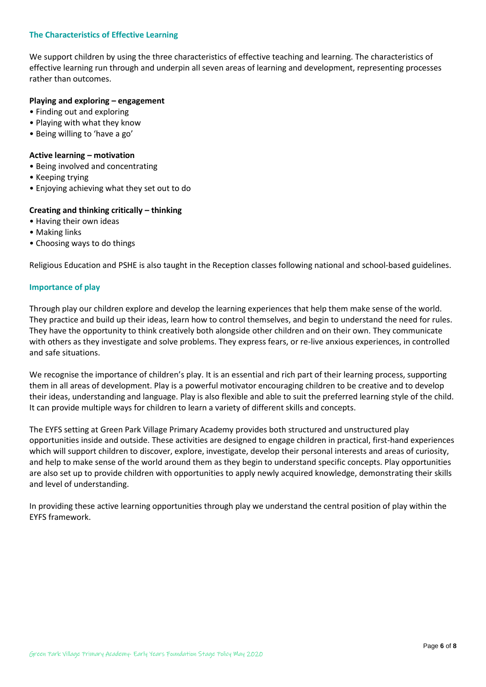## **The Characteristics of Effective Learning**

We support children by using the three characteristics of effective teaching and learning. The characteristics of effective learning run through and underpin all seven areas of learning and development, representing processes rather than outcomes.

## **Playing and exploring – engagement**

- Finding out and exploring
- Playing with what they know
- Being willing to 'have a go'

#### **Active learning – motivation**

- Being involved and concentrating
- Keeping trying
- Enjoying achieving what they set out to do

# **Creating and thinking critically – thinking**

- Having their own ideas
- Making links
- Choosing ways to do things

Religious Education and PSHE is also taught in the Reception classes following national and school-based guidelines.

## **Importance of play**

Through play our children explore and develop the learning experiences that help them make sense of the world. They practice and build up their ideas, learn how to control themselves, and begin to understand the need for rules. They have the opportunity to think creatively both alongside other children and on their own. They communicate with others as they investigate and solve problems. They express fears, or re-live anxious experiences, in controlled and safe situations.

We recognise the importance of children's play. It is an essential and rich part of their learning process, supporting them in all areas of development. Play is a powerful motivator encouraging children to be creative and to develop their ideas, understanding and language. Play is also flexible and able to suit the preferred learning style of the child. It can provide multiple ways for children to learn a variety of different skills and concepts.

The EYFS setting at Green Park Village Primary Academy provides both structured and unstructured play opportunities inside and outside. These activities are designed to engage children in practical, first-hand experiences which will support children to discover, explore, investigate, develop their personal interests and areas of curiosity, and help to make sense of the world around them as they begin to understand specific concepts. Play opportunities are also set up to provide children with opportunities to apply newly acquired knowledge, demonstrating their skills and level of understanding.

In providing these active learning opportunities through play we understand the central position of play within the EYFS framework.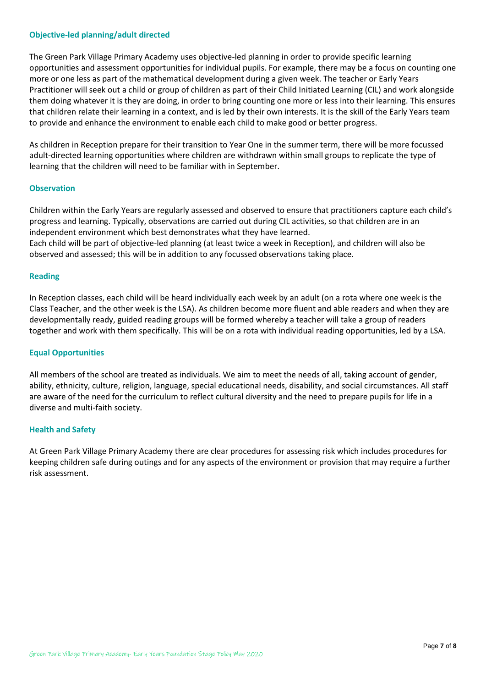## **Objective-led planning/adult directed**

The Green Park Village Primary Academy uses objective-led planning in order to provide specific learning opportunities and assessment opportunities for individual pupils. For example, there may be a focus on counting one more or one less as part of the mathematical development during a given week. The teacher or Early Years Practitioner will seek out a child or group of children as part of their Child Initiated Learning (CIL) and work alongside them doing whatever it is they are doing, in order to bring counting one more or less into their learning. This ensures that children relate their learning in a context, and is led by their own interests. It is the skill of the Early Years team to provide and enhance the environment to enable each child to make good or better progress.

As children in Reception prepare for their transition to Year One in the summer term, there will be more focussed adult-directed learning opportunities where children are withdrawn within small groups to replicate the type of learning that the children will need to be familiar with in September.

## **Observation**

Children within the Early Years are regularly assessed and observed to ensure that practitioners capture each child's progress and learning. Typically, observations are carried out during CIL activities, so that children are in an independent environment which best demonstrates what they have learned. Each child will be part of objective-led planning (at least twice a week in Reception), and children will also be observed and assessed; this will be in addition to any focussed observations taking place.

## **Reading**

In Reception classes, each child will be heard individually each week by an adult (on a rota where one week is the Class Teacher, and the other week is the LSA). As children become more fluent and able readers and when they are developmentally ready, guided reading groups will be formed whereby a teacher will take a group of readers together and work with them specifically. This will be on a rota with individual reading opportunities, led by a LSA.

## **Equal Opportunities**

All members of the school are treated as individuals. We aim to meet the needs of all, taking account of gender, ability, ethnicity, culture, religion, language, special educational needs, disability, and social circumstances. All staff are aware of the need for the curriculum to reflect cultural diversity and the need to prepare pupils for life in a diverse and multi-faith society.

## **Health and Safety**

At Green Park Village Primary Academy there are clear procedures for assessing risk which includes procedures for keeping children safe during outings and for any aspects of the environment or provision that may require a further risk assessment.